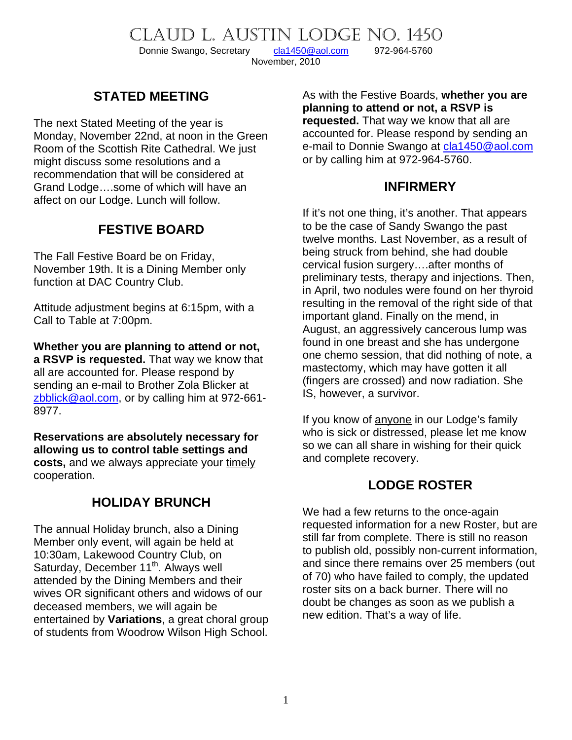CLAUD L. AUSTIN LODGE NO. 1450<br>Donnie Swango, Secretary cla1450@aol.com 972-964-5760

Donnie Swango, Secretary [cla1450@aol.com](mailto:cla1450@aol.com) 972-964-5760 November, 2010

## **STATED MEETING**

The next Stated Meeting of the year is Monday, November 22nd, at noon in the Green Room of the Scottish Rite Cathedral. We just might discuss some resolutions and a recommendation that will be considered at Grand Lodge….some of which will have an affect on our Lodge. Lunch will follow.

## **FESTIVE BOARD**

The Fall Festive Board be on Friday, November 19th. It is a Dining Member only function at DAC Country Club.

Attitude adjustment begins at 6:15pm, with a Call to Table at 7:00pm.

**Whether you are planning to attend or not, a RSVP is requested.** That way we know that all are accounted for. Please respond by sending an e-mail to Brother Zola Blicker at [zbblick@aol.com,](mailto:zbblick@aol.com) or by calling him at 972-661- 8977.

**Reservations are absolutely necessary for allowing us to control table settings and costs,** and we always appreciate your timely cooperation.

## **HOLIDAY BRUNCH**

The annual Holiday brunch, also a Dining Member only event, will again be held at 10:30am, Lakewood Country Club, on Saturday, December 11<sup>th</sup>. Always well attended by the Dining Members and their wives OR significant others and widows of our deceased members, we will again be entertained by **Variations**, a great choral group of students from Woodrow Wilson High School. As with the Festive Boards, **whether you are planning to attend or not, a RSVP is requested.** That way we know that all are accounted for. Please respond by sending an e-mail to Donnie Swango at [cla1450@aol.com](mailto:cla1450@aol.com) or by calling him at 972-964-5760.

### **INFIRMERY**

If it's not one thing, it's another. That appears to be the case of Sandy Swango the past twelve months. Last November, as a result of being struck from behind, she had double cervical fusion surgery….after months of preliminary tests, therapy and injections. Then, in April, two nodules were found on her thyroid resulting in the removal of the right side of that important gland. Finally on the mend, in August, an aggressively cancerous lump was found in one breast and she has undergone one chemo session, that did nothing of note, a mastectomy, which may have gotten it all (fingers are crossed) and now radiation. She IS, however, a survivor.

If you know of anyone in our Lodge's family who is sick or distressed, please let me know so we can all share in wishing for their quick and complete recovery.

## **LODGE ROSTER**

We had a few returns to the once-again requested information for a new Roster, but are still far from complete. There is still no reason to publish old, possibly non-current information, and since there remains over 25 members (out of 70) who have failed to comply, the updated roster sits on a back burner. There will no doubt be changes as soon as we publish a new edition. That's a way of life.